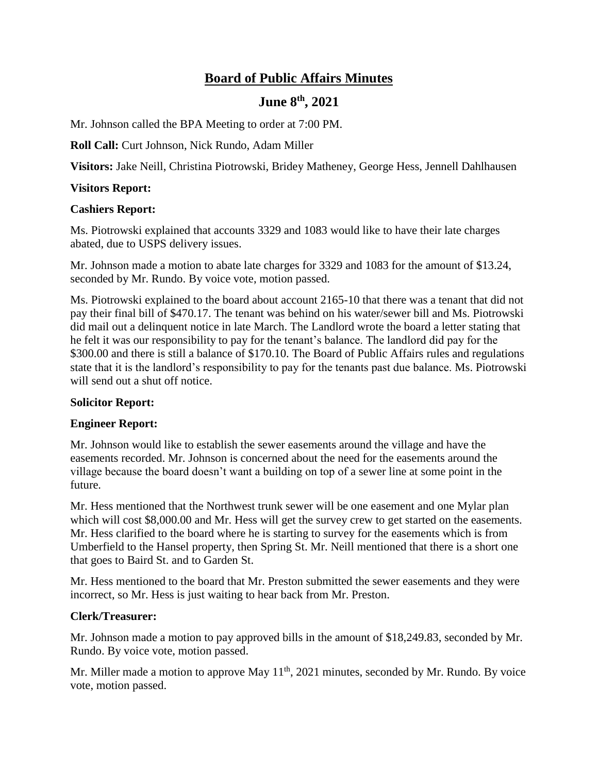# **Board of Public Affairs Minutes**

## **June 8th, 2021**

Mr. Johnson called the BPA Meeting to order at 7:00 PM.

**Roll Call:** Curt Johnson, Nick Rundo, Adam Miller

**Visitors:** Jake Neill, Christina Piotrowski, Bridey Matheney, George Hess, Jennell Dahlhausen

### **Visitors Report:**

#### **Cashiers Report:**

Ms. Piotrowski explained that accounts 3329 and 1083 would like to have their late charges abated, due to USPS delivery issues.

Mr. Johnson made a motion to abate late charges for 3329 and 1083 for the amount of \$13.24, seconded by Mr. Rundo. By voice vote, motion passed.

Ms. Piotrowski explained to the board about account 2165-10 that there was a tenant that did not pay their final bill of \$470.17. The tenant was behind on his water/sewer bill and Ms. Piotrowski did mail out a delinquent notice in late March. The Landlord wrote the board a letter stating that he felt it was our responsibility to pay for the tenant's balance. The landlord did pay for the \$300.00 and there is still a balance of \$170.10. The Board of Public Affairs rules and regulations state that it is the landlord's responsibility to pay for the tenants past due balance. Ms. Piotrowski will send out a shut off notice.

#### **Solicitor Report:**

#### **Engineer Report:**

Mr. Johnson would like to establish the sewer easements around the village and have the easements recorded. Mr. Johnson is concerned about the need for the easements around the village because the board doesn't want a building on top of a sewer line at some point in the future.

Mr. Hess mentioned that the Northwest trunk sewer will be one easement and one Mylar plan which will cost \$8,000.00 and Mr. Hess will get the survey crew to get started on the easements. Mr. Hess clarified to the board where he is starting to survey for the easements which is from Umberfield to the Hansel property, then Spring St. Mr. Neill mentioned that there is a short one that goes to Baird St. and to Garden St.

Mr. Hess mentioned to the board that Mr. Preston submitted the sewer easements and they were incorrect, so Mr. Hess is just waiting to hear back from Mr. Preston.

#### **Clerk/Treasurer:**

Mr. Johnson made a motion to pay approved bills in the amount of \$18,249.83, seconded by Mr. Rundo. By voice vote, motion passed.

Mr. Miller made a motion to approve May  $11<sup>th</sup>$ , 2021 minutes, seconded by Mr. Rundo. By voice vote, motion passed.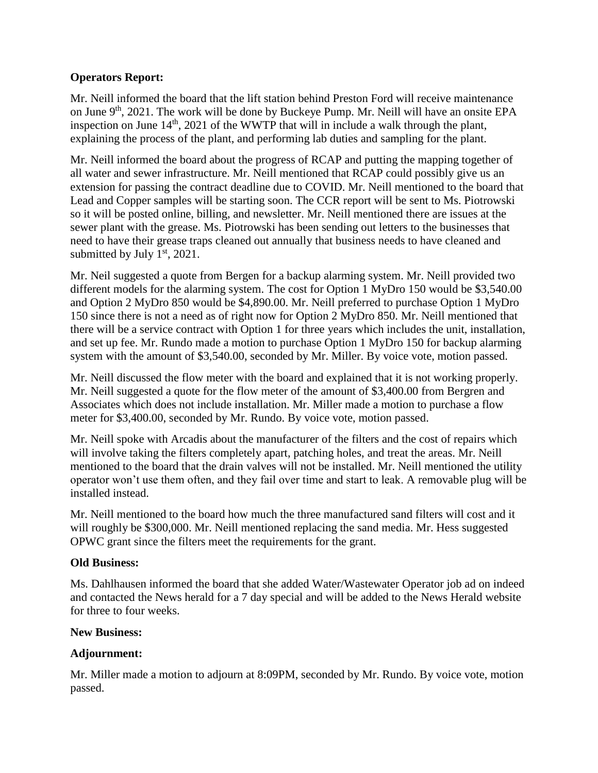## **Operators Report:**

Mr. Neill informed the board that the lift station behind Preston Ford will receive maintenance on June 9<sup>th</sup>, 2021. The work will be done by Buckeye Pump. Mr. Neill will have an onsite EPA inspection on June  $14<sup>th</sup>$ , 2021 of the WWTP that will in include a walk through the plant, explaining the process of the plant, and performing lab duties and sampling for the plant.

Mr. Neill informed the board about the progress of RCAP and putting the mapping together of all water and sewer infrastructure. Mr. Neill mentioned that RCAP could possibly give us an extension for passing the contract deadline due to COVID. Mr. Neill mentioned to the board that Lead and Copper samples will be starting soon. The CCR report will be sent to Ms. Piotrowski so it will be posted online, billing, and newsletter. Mr. Neill mentioned there are issues at the sewer plant with the grease. Ms. Piotrowski has been sending out letters to the businesses that need to have their grease traps cleaned out annually that business needs to have cleaned and submitted by July  $1<sup>st</sup>$ , 2021.

Mr. Neil suggested a quote from Bergen for a backup alarming system. Mr. Neill provided two different models for the alarming system. The cost for Option 1 MyDro 150 would be \$3,540.00 and Option 2 MyDro 850 would be \$4,890.00. Mr. Neill preferred to purchase Option 1 MyDro 150 since there is not a need as of right now for Option 2 MyDro 850. Mr. Neill mentioned that there will be a service contract with Option 1 for three years which includes the unit, installation, and set up fee. Mr. Rundo made a motion to purchase Option 1 MyDro 150 for backup alarming system with the amount of \$3,540.00, seconded by Mr. Miller. By voice vote, motion passed.

Mr. Neill discussed the flow meter with the board and explained that it is not working properly. Mr. Neill suggested a quote for the flow meter of the amount of \$3,400.00 from Bergren and Associates which does not include installation. Mr. Miller made a motion to purchase a flow meter for \$3,400.00, seconded by Mr. Rundo. By voice vote, motion passed.

Mr. Neill spoke with Arcadis about the manufacturer of the filters and the cost of repairs which will involve taking the filters completely apart, patching holes, and treat the areas. Mr. Neill mentioned to the board that the drain valves will not be installed. Mr. Neill mentioned the utility operator won't use them often, and they fail over time and start to leak. A removable plug will be installed instead.

Mr. Neill mentioned to the board how much the three manufactured sand filters will cost and it will roughly be \$300,000. Mr. Neill mentioned replacing the sand media. Mr. Hess suggested OPWC grant since the filters meet the requirements for the grant.

## **Old Business:**

Ms. Dahlhausen informed the board that she added Water/Wastewater Operator job ad on indeed and contacted the News herald for a 7 day special and will be added to the News Herald website for three to four weeks.

## **New Business:**

## **Adjournment:**

Mr. Miller made a motion to adjourn at 8:09PM, seconded by Mr. Rundo. By voice vote, motion passed.